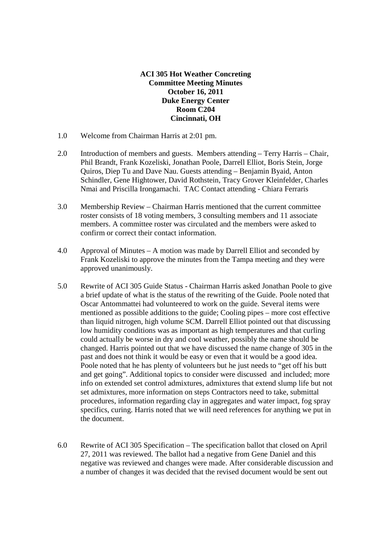## **ACI 305 Hot Weather Concreting Committee Meeting Minutes October 16, 2011 Duke Energy Center Room C204 Cincinnati, OH**

- 1.0 Welcome from Chairman Harris at 2:01 pm.
- 2.0 Introduction of members and guests. Members attending Terry Harris Chair, Phil Brandt, Frank Kozeliski, Jonathan Poole, Darrell Elliot, Boris Stein, Jorge Quiros, Diep Tu and Dave Nau. Guests attending – Benjamin Byaid, Anton Schindler, Gene Hightower, David Rothstein, Tracy Grover Kleinfelder, Charles Nmai and Priscilla Irongamachi. TAC Contact attending - Chiara Ferraris
- 3.0 Membership Review Chairman Harris mentioned that the current committee roster consists of 18 voting members, 3 consulting members and 11 associate members. A committee roster was circulated and the members were asked to confirm or correct their contact information.
- 4.0 Approval of Minutes A motion was made by Darrell Elliot and seconded by Frank Kozeliski to approve the minutes from the Tampa meeting and they were approved unanimously.
- 5.0 Rewrite of ACI 305 Guide Status Chairman Harris asked Jonathan Poole to give a brief update of what is the status of the rewriting of the Guide. Poole noted that Oscar Antommattei had volunteered to work on the guide. Several items were mentioned as possible additions to the guide; Cooling pipes – more cost effective than liquid nitrogen, high volume SCM. Darrell Elliot pointed out that discussing low humidity conditions was as important as high temperatures and that curling could actually be worse in dry and cool weather, possibly the name should be changed. Harris pointed out that we have discussed the name change of 305 in the past and does not think it would be easy or even that it would be a good idea. Poole noted that he has plenty of volunteers but he just needs to "get off his butt and get going". Additional topics to consider were discussed and included; more info on extended set control admixtures, admixtures that extend slump life but not set admixtures, more information on steps Contractors need to take, submittal procedures, information regarding clay in aggregates and water impact, fog spray specifics, curing. Harris noted that we will need references for anything we put in the document.
- 6.0 Rewrite of ACI 305 Specification The specification ballot that closed on April 27, 2011 was reviewed. The ballot had a negative from Gene Daniel and this negative was reviewed and changes were made. After considerable discussion and a number of changes it was decided that the revised document would be sent out